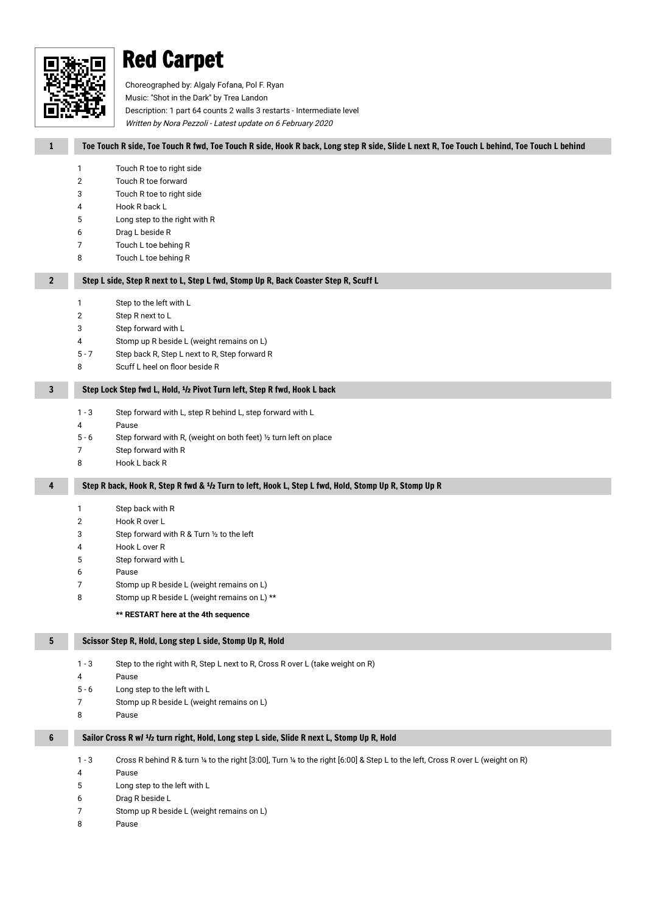

# Red Carpet

Choreographed by: Algaly Fofana, Pol F. Ryan

Music: ''Shot in the Dark'' by Trea Landon

Description: 1 part 64 counts 2 walls 3 restarts - Intermediate level

Written by Nora Pezzoli - Latest update on 6 February 2020

| $\mathbf{1}$   | Toe Touch R side, Toe Touch R fwd, Toe Touch R side, Hook R back, Long step R side, Slide L next R, Toe Touch L behind, Toe Touch L behind  |
|----------------|---------------------------------------------------------------------------------------------------------------------------------------------|
|                | 1<br>Touch R toe to right side                                                                                                              |
|                | Touch R toe forward<br>$\overline{2}$                                                                                                       |
|                | 3<br>Touch R toe to right side                                                                                                              |
|                | 4<br>Hook R back L                                                                                                                          |
|                | 5<br>Long step to the right with R                                                                                                          |
|                | Drag L beside R<br>6                                                                                                                        |
|                | 7<br>Touch L toe behing R<br>8<br>Touch L toe behing R                                                                                      |
| $\overline{2}$ | Step L side, Step R next to L, Step L fwd, Stomp Up R, Back Coaster Step R, Scuff L                                                         |
|                |                                                                                                                                             |
|                | Step to the left with L<br>1                                                                                                                |
|                | 2<br>Step R next to L<br>3                                                                                                                  |
|                | Step forward with L<br>4<br>Stomp up R beside L (weight remains on L)                                                                       |
|                | Step back R, Step L next to R, Step forward R<br>$5 - 7$                                                                                    |
|                | Scuff L heel on floor beside R<br>8                                                                                                         |
| 3              | Step Lock Step fwd L, Hold, <sup>1</sup> /2 Pivot Turn left, Step R fwd, Hook L back                                                        |
|                |                                                                                                                                             |
|                | $1 - 3$<br>Step forward with L, step R behind L, step forward with L                                                                        |
|                | 4<br>Pause                                                                                                                                  |
|                | $5 - 6$<br>Step forward with R, (weight on both feet) 1/2 turn left on place<br>7                                                           |
|                | Step forward with R<br>8<br>Hook L back R                                                                                                   |
|                |                                                                                                                                             |
| 4              | Step R back, Hook R, Step R fwd & 1/2 Turn to left, Hook L, Step L fwd, Hold, Stomp Up R, Stomp Up R                                        |
|                | Step back with R<br>1                                                                                                                       |
|                | Hook R over L<br>2                                                                                                                          |
|                | 3<br>Step forward with R & Turn 1/2 to the left                                                                                             |
|                | 4<br>Hook L over R                                                                                                                          |
|                | Step forward with L<br>5                                                                                                                    |
|                | 6<br>Pause                                                                                                                                  |
|                | 7<br>Stomp up R beside L (weight remains on L)                                                                                              |
|                | 8<br>Stomp up R beside L (weight remains on L) **                                                                                           |
|                | ** RESTART here at the 4th sequence                                                                                                         |
| 5              | Scissor Step R, Hold, Long step L side, Stomp Up R, Hold                                                                                    |
|                | $1 - 3$<br>Step to the right with R, Step L next to R, Cross R over L (take weight on R)                                                    |
|                | 4<br>Pause                                                                                                                                  |
|                | Long step to the left with L<br>$5 - 6$                                                                                                     |
|                | 7<br>Stomp up R beside L (weight remains on L)                                                                                              |
|                | 8<br>Pause                                                                                                                                  |
| 6              | Sailor Cross R w/ <sup>1</sup> /2 turn right, Hold, Long step L side, Slide R next L, Stomp Up R, Hold                                      |
|                | Cross R behind R & turn 1/4 to the right [3:00], Turn 1/4 to the right [6:00] & Step L to the left, Cross R over L (weight on R)<br>$1 - 3$ |
|                | Pause<br>4                                                                                                                                  |
|                | Long step to the left with L<br>5                                                                                                           |
|                | Drag R beside L<br>6                                                                                                                        |

- Stomp up R beside L (weight remains on L)
- Pause